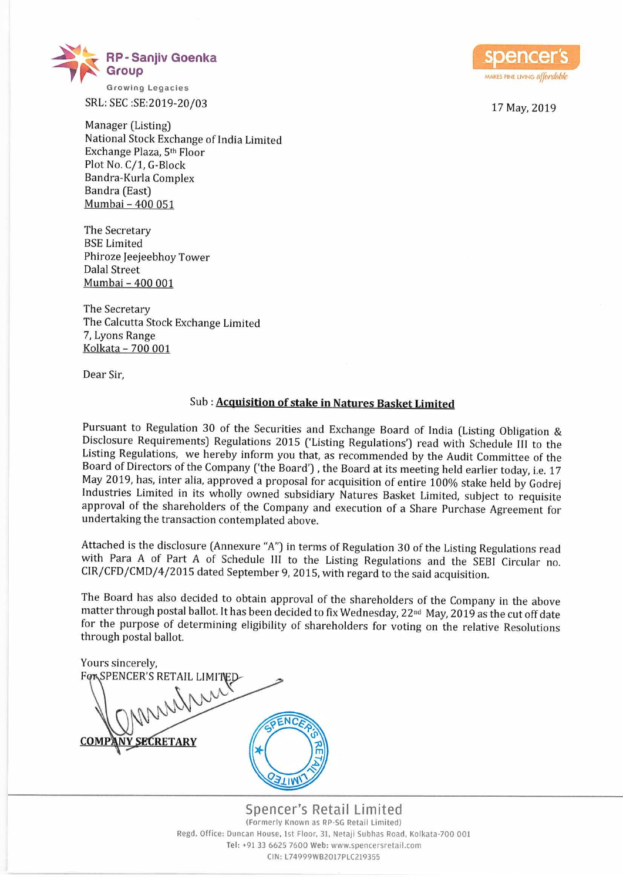

SRL: SEC :SE:2019-20/03 17 May, 2019

Manager (Listing) National Stock Exchange of India Limited Exchange Plaza, 5th Floor Plot No. C/1, G-Block Bandra-Kurla Complex Bandra (East) <u> Mumbai – 400 051</u>

The Secretary BSE Limited Phiroze leejeebhoy Tower Dalal Street Mumbai - 400 001

The Secretary The Calcutta Stock Exchange Limited 7, Lyons Range Kolkata — 700 001

Dear Sir,

## Sub : Acquisition of stake in Natures Basket Limited

Pursuant to Regulation <sup>30</sup> of the Securities and Exchange Board of India (Listing Obligation & Disclosure Requirements) Regulations <sup>2015</sup> ('Listing Regulations') read with Schedule III to the Listing Regulations, we hereby inform you that, as recommended by the Audit Committee of the Board of Directors of the Company ('the Board') , the Board at its meeting held earlier today, i.e. <sup>17</sup> May 2019, has, inter alia, approved <sup>a</sup> proposal for acquisition of entire 100% stake held by Godrej Industries Limited in its wholly owned subsidiary Natures Basket Limited, subject to requisite approval of the shareholders of the Company and execution of <sup>a</sup> Share Purchase Agreement for undertaking the transaction contemplated above.

Attached is the disclosure [Annexure "A") in terms of Regulation <sup>30</sup> of the Listing Regulations read with Para <sup>A</sup> of Part <sup>A</sup> of Schedule III to the Listing Regulations and the SEBI Circular no. CIR/CFD/CMD/4/2015 dated September 9, 2015, with regard to the said acquisition.

The Board has also decided to obtain approval of the shareholders of the Company in the above matter through postal ballot. It has been decided to fix Wednesday, 22<sup>nd</sup> May, 2019 as the cut off date for the purpose of determining eligibility of shareholders for voting on the relative Resolutions through postal ballot.

Yours sincerely, FORSPENCER'S RETAIL LIMITED ENC **SECRETARY COMP ATIMI** 

Spencer's Retail Limited (Formerly Known as RP~SG Retell Limited) Regd. Office: Duncan House, 1st Floor, 31, Netaji Subhas Road, Kolkata-700 001 Tel: +91 33 6625 7600 Web: www.spencersretail.com CIN: L74099W82017PLC219355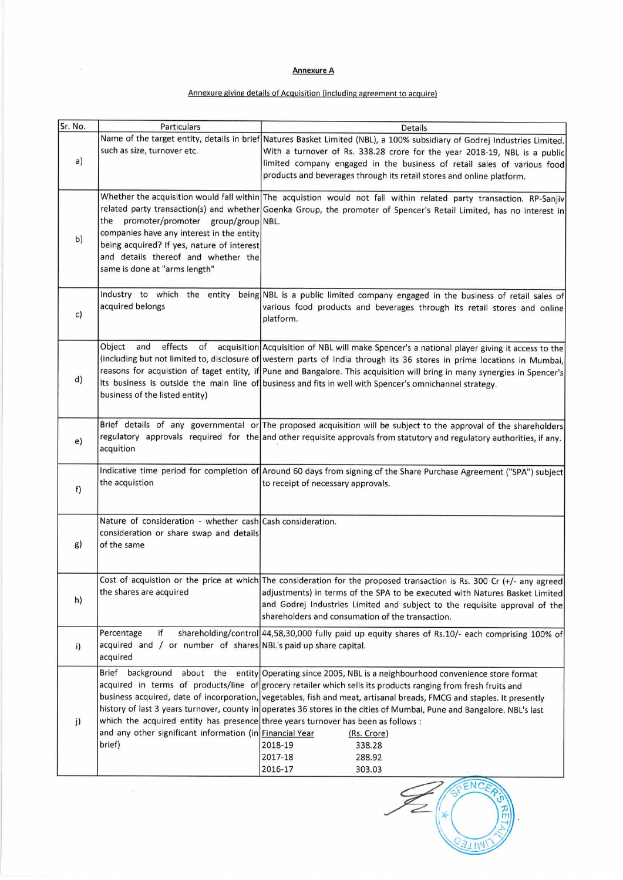## Annexure A

## Annexure giving details of Acquisition (including agreement to acquire)

| Sr. No. | Particulars                                                                                                                                                                                               | <b>Details</b>                                                                                                                                                                                                                                                                                                                                                                                                                                                                                                                                                                                                                |
|---------|-----------------------------------------------------------------------------------------------------------------------------------------------------------------------------------------------------------|-------------------------------------------------------------------------------------------------------------------------------------------------------------------------------------------------------------------------------------------------------------------------------------------------------------------------------------------------------------------------------------------------------------------------------------------------------------------------------------------------------------------------------------------------------------------------------------------------------------------------------|
| a)      | such as size, turnover etc.                                                                                                                                                                               | Name of the target entity, details in brief Natures Basket Limited (NBL), a 100% subsidiary of Godrej Industries Limited.<br>With a turnover of Rs. 338.28 crore for the year 2018-19, NBL is a public<br>limited company engaged in the business of retail sales of various food<br>products and beverages through its retail stores and online platform.                                                                                                                                                                                                                                                                    |
| b)      | the promoter/promoter group/group NBL.<br>companies have any interest in the entity<br>being acquired? If yes, nature of interest<br>and details thereof and whether the<br>same is done at "arms length" | Whether the acquisition would fall within The acquistion would not fall within related party transaction. RP-Sanjiv<br>related party transaction(s) and whether Goenka Group, the promoter of Spencer's Retail Limited, has no interest in                                                                                                                                                                                                                                                                                                                                                                                    |
| c)      | acquired belongs                                                                                                                                                                                          | Industry to which the entity being NBL is a public limited company engaged in the business of retail sales of<br>various food products and beverages through its retail stores and online<br>platform.                                                                                                                                                                                                                                                                                                                                                                                                                        |
| d)      | Object<br>and<br>effects<br>of<br>business of the listed entity)                                                                                                                                          | acquisition Acquisition of NBL will make Spencer's a national player giving it access to the<br>(including but not limited to, disclosure of western parts of India through its 36 stores in prime locations in Mumbai,<br>reasons for acquistion of taget entity, if Pune and Bangalore. This acquisition will bring in many synergies in Spencer's<br>its business is outside the main line of business and fits in well with Spencer's omnichannel strategy.                                                                                                                                                               |
| e)      | acquition                                                                                                                                                                                                 | Brief details of any governmental or The proposed acquisition will be subject to the approval of the shareholders<br>regulatory approvals required for the and other requisite approvals from statutory and regulatory authorities, if any.                                                                                                                                                                                                                                                                                                                                                                                   |
| f)      | the acquistion                                                                                                                                                                                            | Indicative time period for completion of Around 60 days from signing of the Share Purchase Agreement ("SPA") subject<br>to receipt of necessary approvals.                                                                                                                                                                                                                                                                                                                                                                                                                                                                    |
| g)      | Nature of consideration - whether cash Cash consideration.<br>consideration or share swap and details<br>of the same                                                                                      |                                                                                                                                                                                                                                                                                                                                                                                                                                                                                                                                                                                                                               |
| h)      | the shares are acquired                                                                                                                                                                                   | Cost of acquistion or the price at which The consideration for the proposed transaction is Rs. 300 Cr (+/- any agreed<br>adjustments) in terms of the SPA to be executed with Natures Basket Limited<br>and Godrej Industries Limited and subject to the requisite approval of the<br>shareholders and consumation of the transaction.                                                                                                                                                                                                                                                                                        |
| i)      | Percentage<br>if<br>acquired and / or number of shares NBL's paid up share capital.<br>acquired                                                                                                           | shareholding/control 44,58,30,000 fully paid up equity shares of Rs.10/- each comprising 100% of                                                                                                                                                                                                                                                                                                                                                                                                                                                                                                                              |
| j)      | Brief background<br>and any other significant information (in Financial Year<br>brief)                                                                                                                    | about the entity Operating since 2005, NBL is a neighbourhood convenience store format<br>acquired in terms of products/line of grocery retailer which sells its products ranging from fresh fruits and<br>business acquired, date of incorporation, vegetables, fish and meat, artisanal breads, FMCG and staples. It presently<br>history of last 3 years turnover, county in operates 36 stores in the cities of Mumbai, Pune and Bangalore. NBL's last<br>which the acquired entity has presence three years turnover has been as follows :<br>(Rs. Crore)<br>2018-19<br>338.28<br>2017-18<br>288.92<br>2016-17<br>303.03 |

ENCER  $\frac{1}{\sqrt{2}}\int_{0}^{2\pi}$ КT **BETIM**